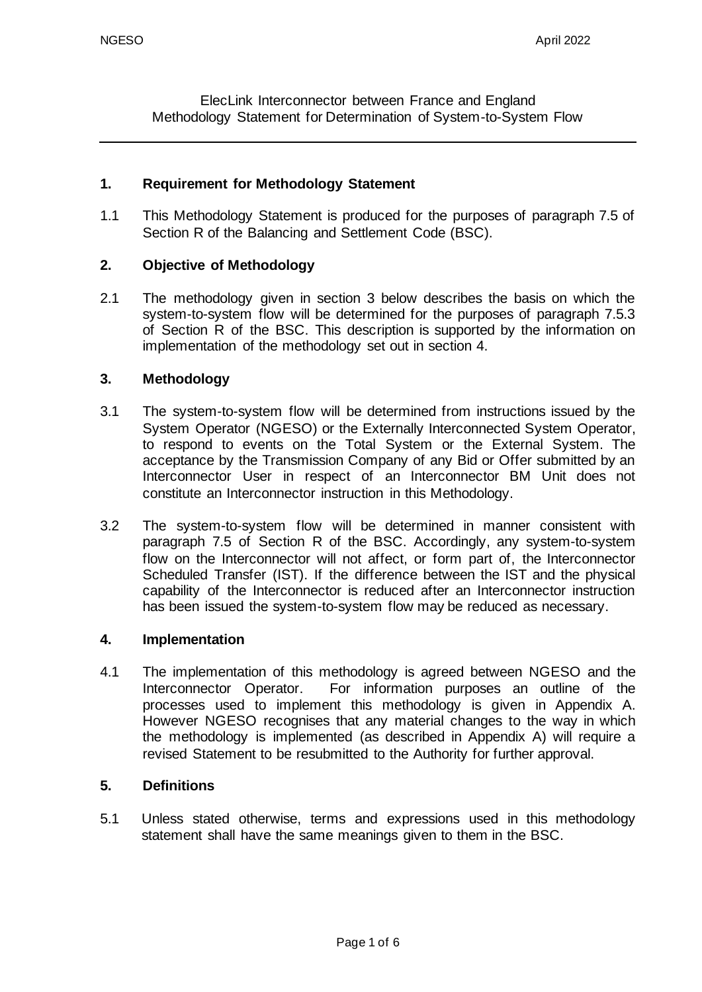ElecLink Interconnector between France and England Methodology Statement for Determination of System-to-System Flow

#### **1. Requirement for Methodology Statement**

1.1 This Methodology Statement is produced for the purposes of paragraph 7.5 of Section R of the Balancing and Settlement Code (BSC).

### **2. Objective of Methodology**

2.1 The methodology given in section 3 below describes the basis on which the system-to-system flow will be determined for the purposes of paragraph 7.5.3 of Section R of the BSC. This description is supported by the information on implementation of the methodology set out in section 4.

#### **3. Methodology**

- 3.1 The system-to-system flow will be determined from instructions issued by the System Operator (NGESO) or the Externally Interconnected System Operator, to respond to events on the Total System or the External System. The acceptance by the Transmission Company of any Bid or Offer submitted by an Interconnector User in respect of an Interconnector BM Unit does not constitute an Interconnector instruction in this Methodology.
- 3.2 The system-to-system flow will be determined in manner consistent with paragraph 7.5 of Section R of the BSC. Accordingly, any system-to-system flow on the Interconnector will not affect, or form part of, the Interconnector Scheduled Transfer (IST). If the difference between the IST and the physical capability of the Interconnector is reduced after an Interconnector instruction has been issued the system-to-system flow may be reduced as necessary.

#### **4. Implementation**

4.1 The implementation of this methodology is agreed between NGESO and the Interconnector Operator. For information purposes an outline of the processes used to implement this methodology is given in Appendix A. However NGESO recognises that any material changes to the way in which the methodology is implemented (as described in Appendix A) will require a revised Statement to be resubmitted to the Authority for further approval.

#### **5. Definitions**

5.1 Unless stated otherwise, terms and expressions used in this methodology statement shall have the same meanings given to them in the BSC.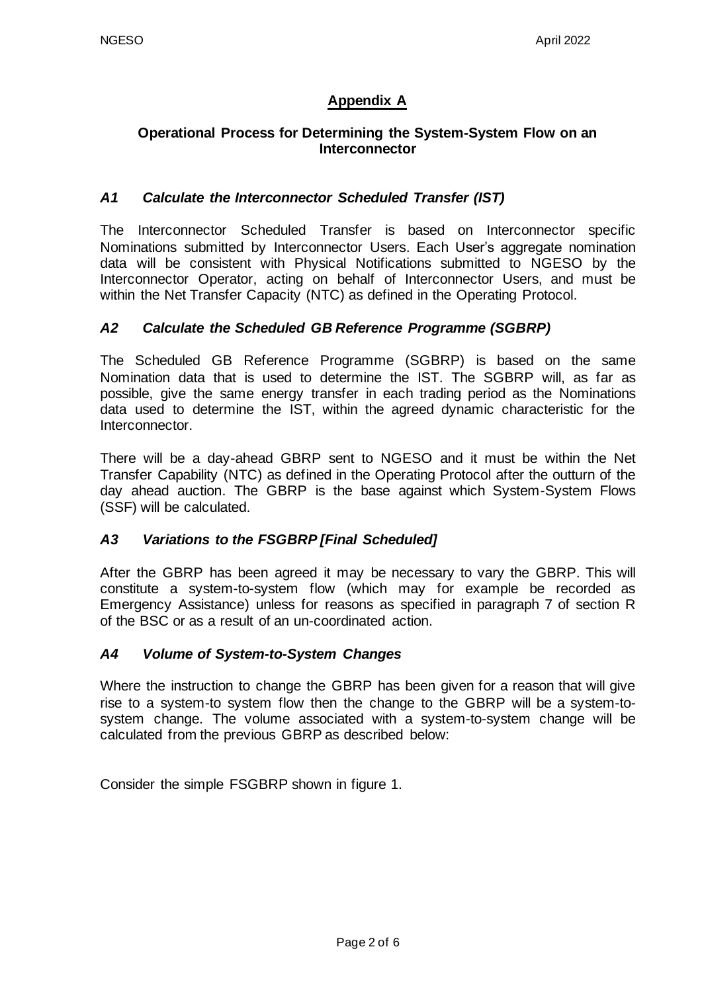## **Appendix A**

## **Operational Process for Determining the System-System Flow on an Interconnector**

## *A1 Calculate the Interconnector Scheduled Transfer (IST)*

The Interconnector Scheduled Transfer is based on Interconnector specific Nominations submitted by Interconnector Users. Each User's aggregate nomination data will be consistent with Physical Notifications submitted to NGESO by the Interconnector Operator, acting on behalf of Interconnector Users, and must be within the Net Transfer Capacity (NTC) as defined in the Operating Protocol.

## *A2 Calculate the Scheduled GB Reference Programme (SGBRP)*

The Scheduled GB Reference Programme (SGBRP) is based on the same Nomination data that is used to determine the IST. The SGBRP will, as far as possible, give the same energy transfer in each trading period as the Nominations data used to determine the IST, within the agreed dynamic characteristic for the Interconnector.

There will be a day-ahead GBRP sent to NGESO and it must be within the Net Transfer Capability (NTC) as defined in the Operating Protocol after the outturn of the day ahead auction. The GBRP is the base against which System-System Flows (SSF) will be calculated.

### *A3 Variations to the FSGBRP [Final Scheduled]*

After the GBRP has been agreed it may be necessary to vary the GBRP. This will constitute a system-to-system flow (which may for example be recorded as Emergency Assistance) unless for reasons as specified in paragraph 7 of section R of the BSC or as a result of an un-coordinated action.

### *A4 Volume of System-to-System Changes*

Where the instruction to change the GBRP has been given for a reason that will give rise to a system-to system flow then the change to the GBRP will be a system-tosystem change. The volume associated with a system-to-system change will be calculated from the previous GBRP as described below:

Consider the simple FSGBRP shown in figure 1.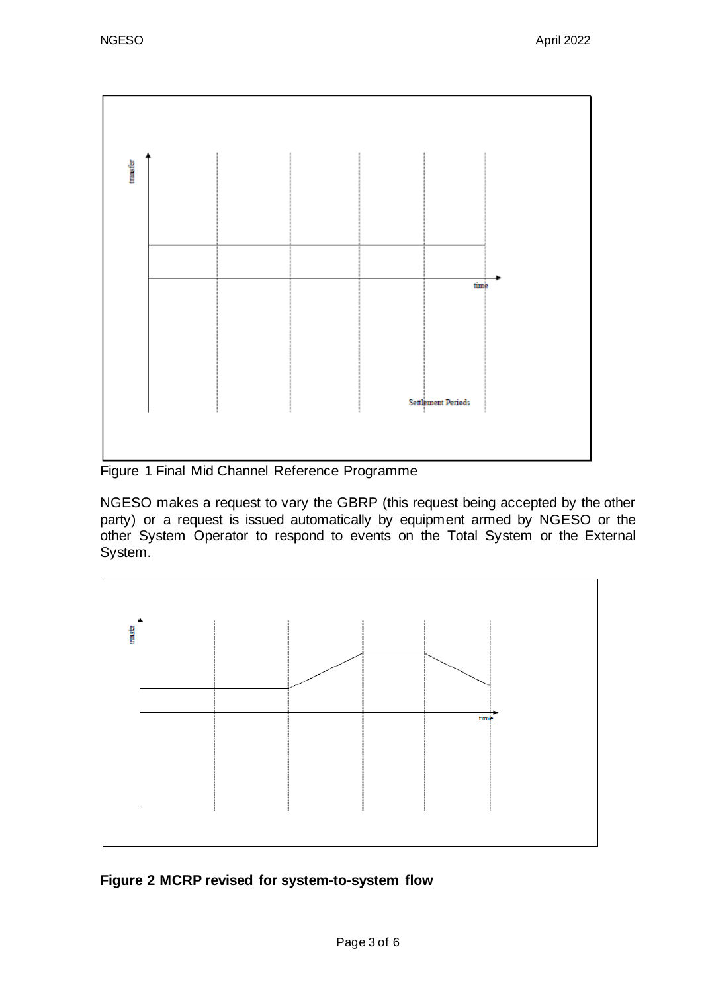

Figure 1 Final Mid Channel Reference Programme

NGESO makes a request to vary the GBRP (this request being accepted by the other party) or a request is issued automatically by equipment armed by NGESO or the other System Operator to respond to events on the Total System or the External System.



**Figure 2 MCRP revised for system-to-system flow**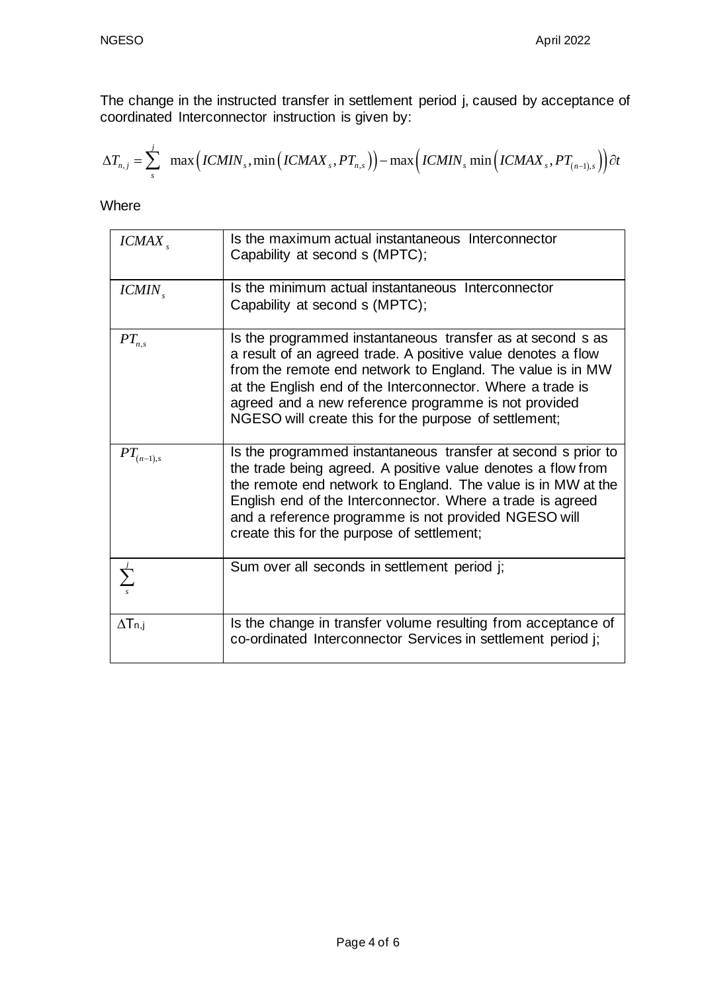The change in the instructed transfer in settlement period j, caused by acceptance of coordinated Interconnector instruction is given by:

The change in the instructed transfer in settlement period j, caused by acceptance of  
coordinated Interconnector instruction is given by:  

$$
\Delta T_{n,j} = \sum_{s}^{j} \max \Big(ICMIN_{s}, \min \Big(ICMAX_{s}, PT_{n,s}\Big)\Big) - \max \Big(ICMIN_{s} \min \Big(ICMAX_{s}, PT_{(n-1),s}\Big)\Big) \partial t
$$

Where

| ICMAX                       | Is the maximum actual instantaneous Interconnector<br>Capability at second s (MPTC);                                                                                                                                                                                                                                                                                    |
|-----------------------------|-------------------------------------------------------------------------------------------------------------------------------------------------------------------------------------------------------------------------------------------------------------------------------------------------------------------------------------------------------------------------|
| $ICMIN_{s}$                 | Is the minimum actual instantaneous Interconnector<br>Capability at second s (MPTC);                                                                                                                                                                                                                                                                                    |
| $PT_{n,s}$                  | Is the programmed instantaneous transfer as at second s as<br>a result of an agreed trade. A positive value denotes a flow<br>from the remote end network to England. The value is in MW<br>at the English end of the Interconnector. Where a trade is<br>agreed and a new reference programme is not provided<br>NGESO will create this for the purpose of settlement; |
| $PT_{\left( n-1\right) ,s}$ | Is the programmed instantaneous transfer at second s prior to<br>the trade being agreed. A positive value denotes a flow from<br>the remote end network to England. The value is in MW at the<br>English end of the Interconnector. Where a trade is agreed<br>and a reference programme is not provided NGESO will<br>create this for the purpose of settlement;       |
|                             | Sum over all seconds in settlement period j;                                                                                                                                                                                                                                                                                                                            |
| $\Delta T$ n,j              | Is the change in transfer volume resulting from acceptance of<br>co-ordinated Interconnector Services in settlement period j;                                                                                                                                                                                                                                           |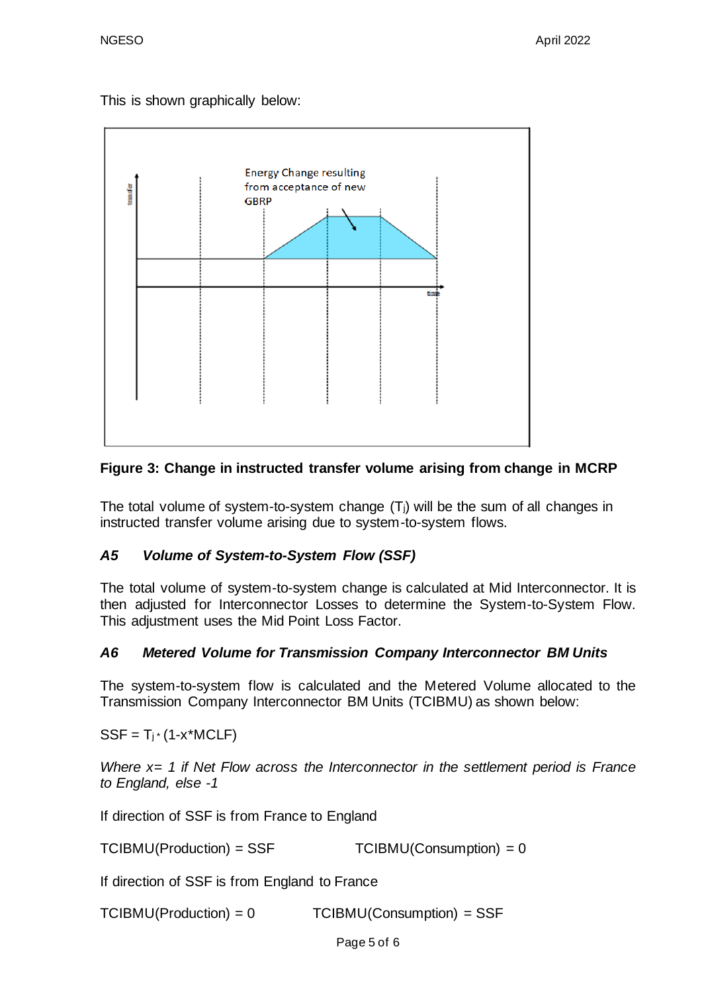This is shown graphically below:



# **Figure 3: Change in instructed transfer volume arising from change in MCRP**

The total volume of system-to-system change (Tj) will be the sum of all changes in instructed transfer volume arising due to system-to-system flows.

# *A5 Volume of System-to-System Flow (SSF)*

The total volume of system-to-system change is calculated at Mid Interconnector. It is then adjusted for Interconnector Losses to determine the System-to-System Flow. This adjustment uses the Mid Point Loss Factor.

# *A6 Metered Volume for Transmission Company Interconnector BM Units*

The system-to-system flow is calculated and the Metered Volume allocated to the Transmission Company Interconnector BM Units (TCIBMU) as shown below:

 $SSF = T<sub>j</sub>*(1-x<sup>*</sup>MCLF)$ 

*Where x= 1 if Net Flow across the Interconnector in the settlement period is France to England, else -1* 

If direction of SSF is from France to England

 $TCIBMU(Production) = SSF$   $TCIBMU(Construction) = 0$ 

If direction of SSF is from England to France

TCIBMU(Production) = 0 TCIBMU(Consumption) = SSF